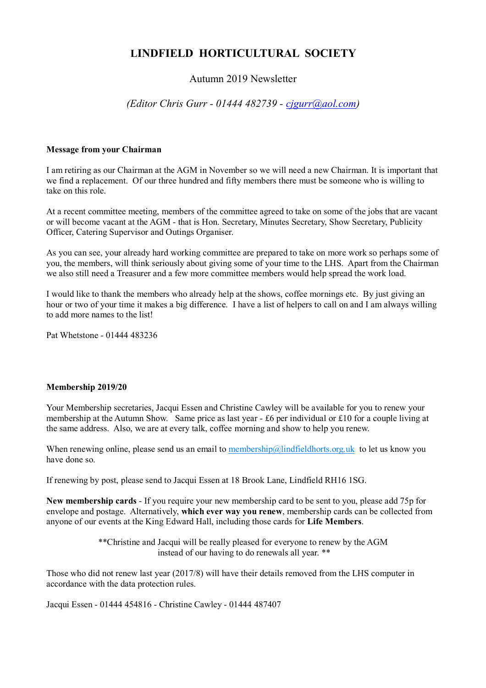# **LINDFIELD HORTICULTURAL SOCIETY**

# Autumn 2019 Newsletter

# *(Editor Chris Gurr - 01444 482739 - [cjgurr@aol.com\)](mailto:cjgurr@aol.com)*

#### **Message from your Chairman**

I am retiring as our Chairman at the AGM in November so we will need a new Chairman. It is important that we find a replacement. Of our three hundred and fifty members there must be someone who is willing to take on this role.

At a recent committee meeting, members of the committee agreed to take on some of the jobs that are vacant or will become vacant at the AGM - that is Hon. Secretary, Minutes Secretary, Show Secretary, Publicity Officer, Catering Supervisor and Outings Organiser.

As you can see, your already hard working committee are prepared to take on more work so perhaps some of you, the members, will think seriously about giving some of your time to the LHS. Apart from the Chairman we also still need a Treasurer and a few more committee members would help spread the work load.

I would like to thank the members who already help at the shows, coffee mornings etc. By just giving an hour or two of your time it makes a big difference. I have a list of helpers to call on and I am always willing to add more names to the list!

Pat Whetstone - 01444 483236

### **Membership 2019/20**

Your Membership secretaries, Jacqui Essen and Christine Cawley will be available for you to renew your membership at the Autumn Show. Same price as last year - £6 per individual or £10 for a couple living at the same address. Also, we are at every talk, coffee morning and show to help you renew.

When renewing online, please send us an email to [membership@lindfieldhorts.org.uk](mailto:membership@lindfieldhorts.org.uk) to let us know you have done so.

If renewing by post, please send to Jacqui Essen at 18 Brook Lane, Lindfield RH16 1SG.

**New membership cards** - If you require your new membership card to be sent to you, please add 75p for envelope and postage. Alternatively, **which ever way you renew**, membership cards can be collected from anyone of our events at the King Edward Hall, including those cards for **Life Members**.

> \*\*Christine and Jacqui will be really pleased for everyone to renew by the AGM instead of our having to do renewals all year. \*\*

Those who did not renew last year (2017/8) will have their details removed from the LHS computer in accordance with the data protection rules.

Jacqui Essen - 01444 454816 - Christine Cawley - 01444 487407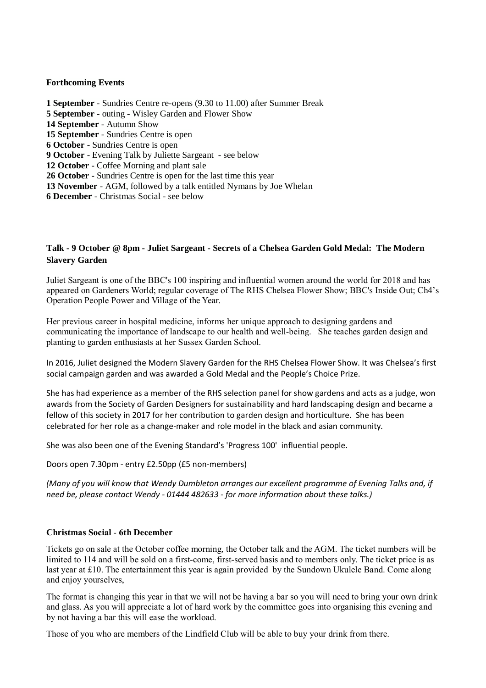### **Forthcoming Events**

 **September** - Sundries Centre re-opens (9.30 to 11.00) after Summer Break **September** - outing - Wisley Garden and Flower Show **September** - Autumn Show **September** - Sundries Centre is open **October** - Sundries Centre is open **October** - Evening Talk by Juliette Sargeant - see below **October** - Coffee Morning and plant sale **October** - Sundries Centre is open for the last time this year **November** - AGM, followed by a talk entitled Nymans by Joe Whelan **December** - Christmas Social - see below

## **Talk - 9 October @ 8pm - Juliet Sargeant - Secrets of a Chelsea Garden Gold Medal: The Modern Slavery Garden**

Juliet Sargeant is one of the BBC's 100 inspiring and influential women around the world for 2018 and has appeared on Gardeners World; regular coverage of The RHS Chelsea Flower Show; BBC's Inside Out; Ch4's Operation People Power and Village of the Year.

Her previous career in hospital medicine, informs her unique approach to designing gardens and communicating the importance of landscape to our health and well-being. She teaches garden design and planting to garden enthusiasts at her Sussex Garden School.

In 2016, Juliet designed the Modern Slavery Garden for the RHS Chelsea Flower Show. It was Chelsea's first social campaign garden and was awarded a Gold Medal and the People's Choice Prize.

She has had experience as a member of the RHS selection panel for show gardens and acts as a judge, won awards from the Society of Garden Designers for sustainability and hard landscaping design and became a fellow of this society in 2017 for her contribution to garden design and horticulture. She has been celebrated for her role as a change-maker and role model in the black and asian community*.*

She was also been one of the Evening Standard's 'Progress 100' influential people.

Doors open 7.30pm - entry £2.50pp (£5 non-members)

*(Many of you will know that Wendy Dumbleton arranges our excellent programme of Evening Talks and, if need be, please contact Wendy - 01444 482633 - for more information about these talks.)*

### **Christmas Social** - **6th December**

Tickets go on sale at the October coffee morning, the October talk and the AGM. The ticket numbers will be limited to 114 and will be sold on a first-come, first-served basis and to members only. The ticket price is as last year at £10. The entertainment this year is again provided by the Sundown Ukulele Band. Come along and enjoy yourselves,

The format is changing this year in that we will not be having a bar so you will need to bring your own drink and glass. As you will appreciate a lot of hard work by the committee goes into organising this evening and by not having a bar this will ease the workload.

Those of you who are members of the Lindfield Club will be able to buy your drink from there.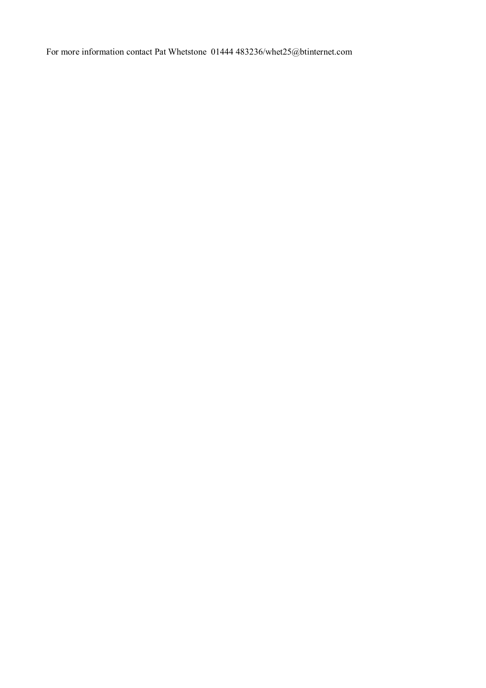For more information contact Pat Whetstone 01444 483236/whet25@btinternet.com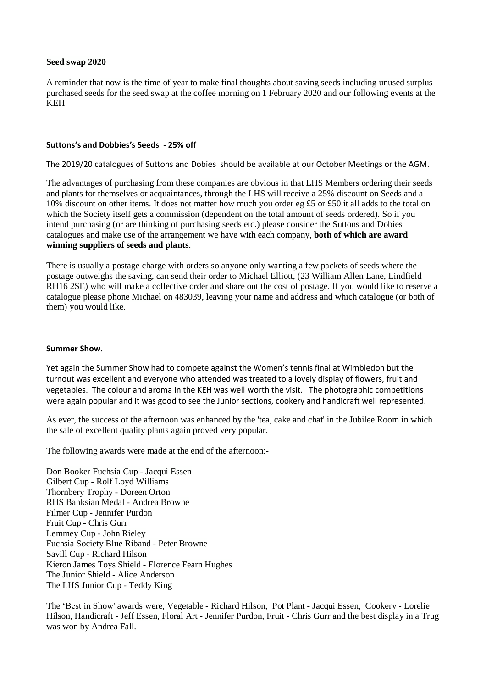#### **Seed swap 2020**

A reminder that now is the time of year to make final thoughts about saving seeds including unused surplus purchased seeds for the seed swap at the coffee morning on 1 February 2020 and our following events at the KEH

#### **Suttons's and Dobbies's Seeds - 25% off**

The 2019/20 catalogues of Suttons and Dobies should be available at our October Meetings or the AGM.

The advantages of purchasing from these companies are obvious in that LHS Members ordering their seeds and plants for themselves or acquaintances, through the LHS will receive a 25% discount on Seeds and a 10% discount on other items. It does not matter how much you order eg £5 or £50 it all adds to the total on which the Society itself gets a commission (dependent on the total amount of seeds ordered). So if you intend purchasing (or are thinking of purchasing seeds etc.) please consider the Suttons and Dobies catalogues and make use of the arrangement we have with each company, **both of which are award winning suppliers of seeds and plants**.

There is usually a postage charge with orders so anyone only wanting a few packets of seeds where the postage outweighs the saving, can send their order to Michael Elliott, (23 William Allen Lane, Lindfield RH16 2SE) who will make a collective order and share out the cost of postage. If you would like to reserve a catalogue please phone Michael on 483039, leaving your name and address and which catalogue (or both of them) you would like.

#### **Summer Show.**

Yet again the Summer Show had to compete against the Women's tennis final at Wimbledon but the turnout was excellent and everyone who attended was treated to a lovely display of flowers, fruit and vegetables. The colour and aroma in the KEH was well worth the visit. The photographic competitions were again popular and it was good to see the Junior sections, cookery and handicraft well represented.

As ever, the success of the afternoon was enhanced by the 'tea, cake and chat' in the Jubilee Room in which the sale of excellent quality plants again proved very popular.

The following awards were made at the end of the afternoon:-

Don Booker Fuchsia Cup - Jacqui Essen Gilbert Cup - Rolf Loyd Williams Thornbery Trophy - Doreen Orton RHS Banksian Medal - Andrea Browne Filmer Cup - Jennifer Purdon Fruit Cup - Chris Gurr Lemmey Cup - John Rieley Fuchsia Society Blue Riband - Peter Browne Savill Cup - Richard Hilson Kieron James Toys Shield - Florence Fearn Hughes The Junior Shield - Alice Anderson The LHS Junior Cup - Teddy King

The 'Best in Show' awards were, Vegetable - Richard Hilson, Pot Plant - Jacqui Essen, Cookery - Lorelie Hilson, Handicraft - Jeff Essen, Floral Art - Jennifer Purdon, Fruit - Chris Gurr and the best display in a Trug was won by Andrea Fall.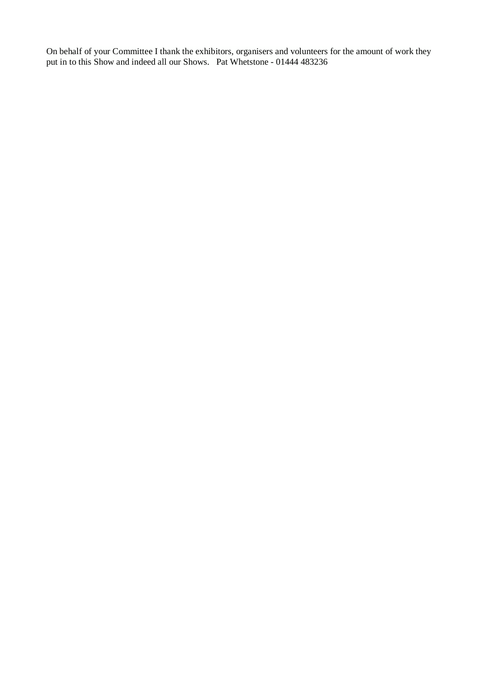On behalf of your Committee I thank the exhibitors, organisers and volunteers for the amount of work they put in to this Show and indeed all our Shows. Pat Whetstone - 01444 483236